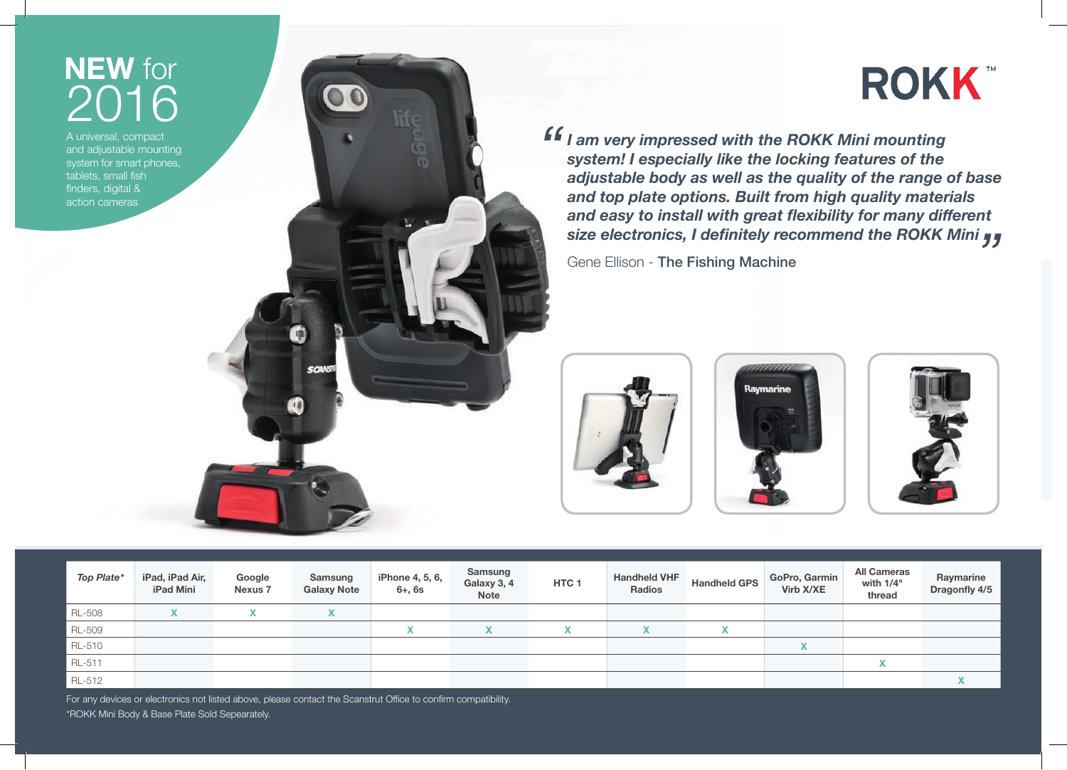# **NEW** for 2016

A universal, compact and adjustable mounting system for smart phones, tablets, small fish finders, digital & action cameras

# **ROKK**

*I I* am very impressed with the ROKK Mini mounting system! I especially like the locking features of the adiustable body as well as the quality of the range of *system! I especially like the locking features of the adjustable body as well as the quality of the range of base and top plate options. Built from high quality materials and easy to install with great flexibility for many different size electronics, I definitely recommend the ROKK Mini <sub>JJ</sub><br>Gene Ellison - The Fishing Machine* 

Gene Ellison - The Fishing Machine







| Top Plate* | iPad, iPad Air,<br><b>iPad Mini</b> | Google<br><b>Nexus 7</b> | Samsung<br><b>Galaxy Note</b> | iPhone 4, 5, 6,<br>$6 + 6s$              | Samsung<br>Galaxy 3, 4<br>Note | HTC <sub>1</sub> | <b>Handheld VHF</b><br><b>Radios</b> | <b>Handheld GPS</b>      | GoPro, Garmin<br>Virb X/XE | <b>All Cameras</b><br>with 1/4"<br>thread | Raymarine<br>Dragonfly 4/5 |
|------------|-------------------------------------|--------------------------|-------------------------------|------------------------------------------|--------------------------------|------------------|--------------------------------------|--------------------------|----------------------------|-------------------------------------------|----------------------------|
| RL-508     |                                     |                          | $\mathbf{v}$                  |                                          |                                |                  |                                      |                          |                            |                                           |                            |
| RL-509     |                                     |                          |                               | $\overline{\phantom{a}}$<br>$\mathbf{v}$ | $\mathbf{v}$                   | $\mathbf{v}$     | X                                    | $\mathbf v$<br>$\lambda$ |                            |                                           |                            |
| RL-510     |                                     |                          |                               |                                          |                                |                  |                                      |                          | $\sqrt{ }$<br>$\lambda$    |                                           |                            |
| RL-511     |                                     |                          |                               |                                          |                                |                  |                                      |                          |                            | $\checkmark$                              |                            |
| RL-512     |                                     |                          |                               |                                          |                                |                  |                                      |                          |                            |                                           |                            |

For any devices or electronics not listed above, please contact the Scanstrut Office to confirm compatibility. \*ROKK Mini Body & Base Plate Sold Sepearately.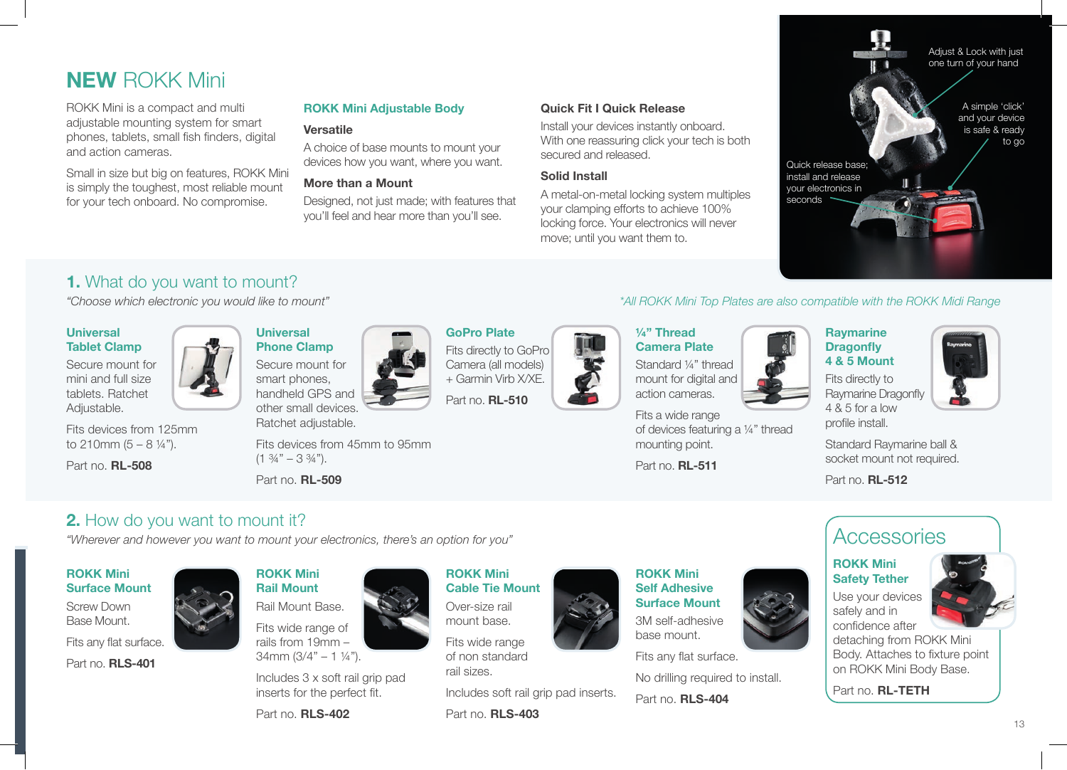# **NEW** ROKK Mini

ROKK Mini is a compact and multi adjustable mounting system for smart phones, tablets, small fish finders, digital and action cameras.

Small in size but big on features, ROKK Mini is simply the toughest, most reliable mount for your tech onboard. No compromise.

#### **ROKK Mini Adjustable Body**

#### **Versatile**

A choice of base mounts to mount your devices how you want, where you want.

#### **More than a Mount**

Designed, not just made; with features that you'll feel and hear more than you'll see.

#### **Quick Fit I Quick Release**

Install your devices instantly onboard. With one reassuring click your tech is both secured and released.

#### **Solid Install**

A metal-on-metal locking system multiples your clamping efforts to achieve 100% locking force. Your electronics will never move; until you want them to.



### **1.** What do you want to mount?

#### **Universal Tablet Clamp**

Secure mount for mini and full size tablets. Ratchet Adjustable.

Fits devices from 125mm to 210mm  $(5 - 8 \frac{1}{4})$ .

Part no. **RL-508**



Secure mount for smart phones, handheld GPS and other small devices.

Ratchet adjustable.

Fits devices from 45mm to 95mm  $(1 \frac{3}{4} - 3 \frac{3}{4})$ .

Part no. **RL-509**

### **2.** How do you want to mount it?

*"Wherever and however you want to mount your electronics, there's an option for you"*

#### **ROKK Mini Surface Mount**

Screw Down Base Mount.

Fits any flat surface.

Part no. **RLS-401**



Rail Mount Base. Fits wide range of rails from 19mm – 34mm  $(3/4" - 1 \frac{1}{4})$ .

Includes 3 x soft rail grip pad inserts for the perfect fit.

Part no. **RLS-402**

# **GoPro Plate** Fits directly to GoPro

Camera (all models) + Garmin Virb X/XE.

Part no. **RL-510**



**Camera Plate** Standard ¼" thread mount for digital and action cameras.

**¼" Thread** 

Fits a wide range of devices featuring a ¼" thread mounting point.

Part no. **RL-511**

#### *"Choose which electronic you would like to mount" \*All ROKK Mini Top Plates are also compatible with the ROKK Midi Range*

**Raymarine Dragonfly 4 & 5 Mount**

Fits directly to Raymarine Dragonfly 4 & 5 for a low profile install.



Standard Raymarine ball & socket mount not required.

Part no. **RL-512**

# **Accessories**

#### **ROKK Mini Safety Tether**

Use your devices safely and in confidence after



detaching from ROKK Mini Body. Attaches to fixture point on ROKK Mini Body Base.

Part no. **RL-TETH**

Fits wide range of non standard rail sizes.

Includes soft rail grip pad inserts.

Part no. **RLS-403**

**ROKK Mini Cable Tie Mount** Over-size rail mount base.



**Self Adhesive Surface Mount** 3M self-adhesive base mount.

Fits any flat surface.



13









No drilling required to install. Part no. **RLS-404**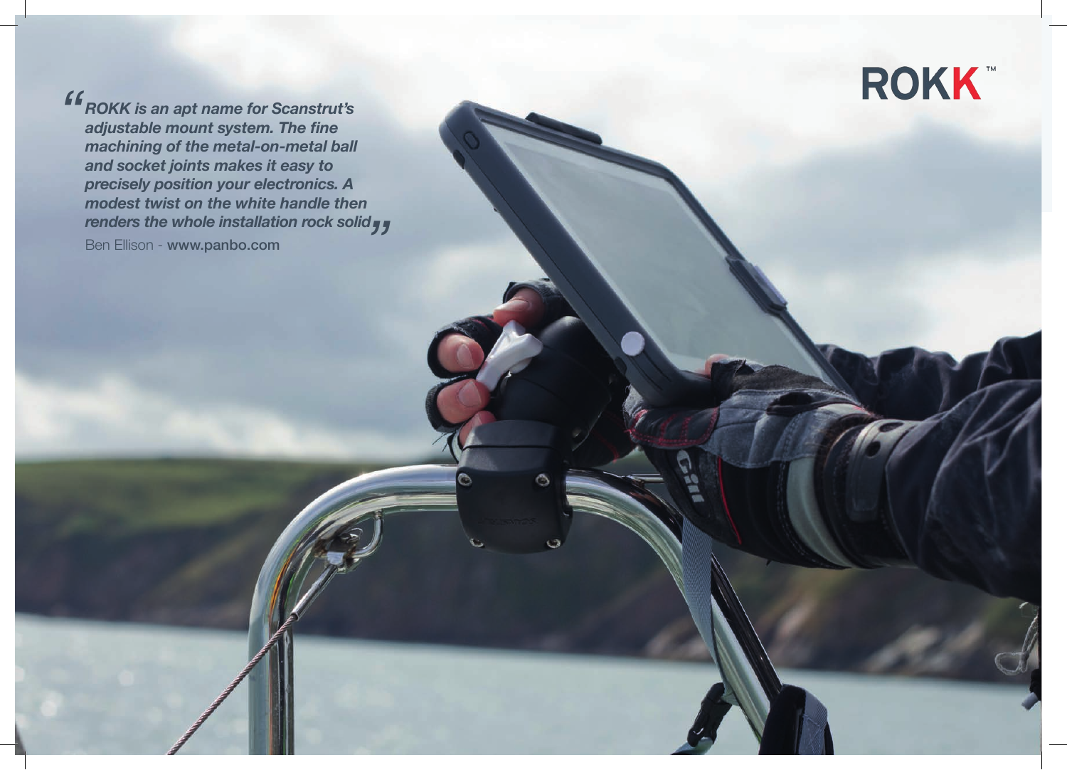

*ROKK is an apt name for Scanstrut's adjustable mount system. The fine machining of the metal-on-metal ball and socket joints makes it easy to precisely position your electronics. A modest twist on the white handle then*  renders the whole installation rock solid **<sub>"</sub>;**<br>Ben Ellison - www.panbo.com Ben Ellison - www.panbo.com *"*

Ò

٥